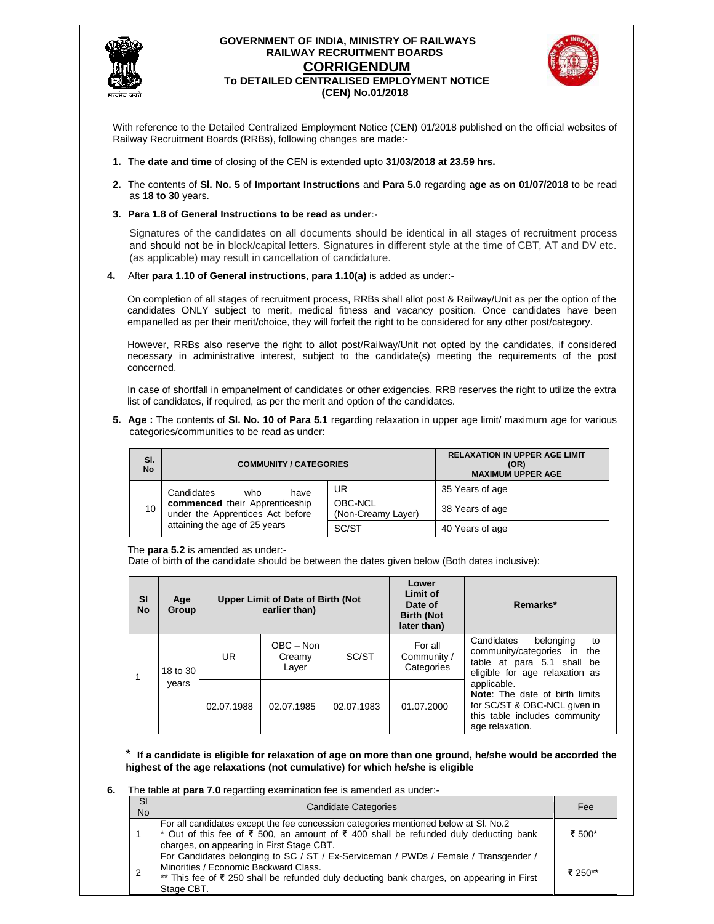

### **GOVERNMENT OF INDIA, MINISTRY OF RAILWAYS RAILWAY RECRUITMENT BOARDS CORRIGENDUM To DETAILED CENTRALISED EMPLOYMENT NOTICE (CEN) No.01/2018**



With reference to the Detailed Centralized Employment Notice (CEN) 01/2018 published on the official websites of Railway Recruitment Boards (RRBs), following changes are made:-

- **1.** The **date and time** of closing of the CEN is extended upto **31/03/2018 at 23.59 hrs.**
- **2.** The contents of **Sl. No. 5** of **Important Instructions** and **Para 5.0** regarding **age as on 01/07/2018** to be read as **18 to 30** years.

### **3. Para 1.8 of General Instructions to be read as under**:-

Signatures of the candidates on all documents should be identical in all stages of recruitment process and should not be in block/capital letters. Signatures in different style at the time of CBT, AT and DV etc. (as applicable) may result in cancellation of candidature.

**4.** After **para 1.10 of General instructions**, **para 1.10(a)** is added as under:-

On completion of all stages of recruitment process, RRBs shall allot post & Railway/Unit as per the option of the candidates ONLY subject to merit, medical fitness and vacancy position. Once candidates have been empanelled as per their merit/choice, they will forfeit the right to be considered for any other post/category.

However, RRBs also reserve the right to allot post/Railway/Unit not opted by the candidates, if considered necessary in administrative interest, subject to the candidate(s) meeting the requirements of the post concerned.

In case of shortfall in empanelment of candidates or other exigencies, RRB reserves the right to utilize the extra list of candidates, if required, as per the merit and option of the candidates.

**5. Age :** The contents of **Sl. No. 10 of Para 5.1** regarding relaxation in upper age limit/ maximum age for various categories/communities to be read as under:

| SI.<br><b>No</b> | <b>COMMUNITY / CATEGORIES</b>                                      | <b>RELAXATION IN UPPER AGE LIMIT</b><br>(OR)<br><b>MAXIMUM UPPER AGE</b> |                 |
|------------------|--------------------------------------------------------------------|--------------------------------------------------------------------------|-----------------|
|                  | Candidates<br>who<br>have                                          | UR                                                                       | 35 Years of age |
| 10               | commenced their Apprenticeship<br>under the Apprentices Act before | OBC-NCL<br>(Non-Creamy Layer)                                            | 38 Years of age |
|                  | attaining the age of 25 years                                      | SC/ST                                                                    | 40 Years of age |

The **para 5.2** is amended as under:-

Date of birth of the candidate should be between the dates given below (Both dates inclusive):

| <b>SI</b><br><b>No</b> | Age<br>Group |            | <b>Upper Limit of Date of Birth (Not</b><br>earlier than) |            | Lower<br><b>Limit of</b><br>Date of<br><b>Birth (Not</b><br>later than) | Remarks*                                                                                                                                 |
|------------------------|--------------|------------|-----------------------------------------------------------|------------|-------------------------------------------------------------------------|------------------------------------------------------------------------------------------------------------------------------------------|
|                        | 18 to 30     | UR.        | $OBC - Non$<br>Creamy<br>Layer                            | SC/ST      | For all<br>Community /<br>Categories                                    | Candidates<br>belonging<br>to<br>community/categories in the<br>table at para 5.1 shall be<br>eligible for age relaxation as             |
|                        | years        | 02.07.1988 | 02.07.1985                                                | 02.07.1983 | 01.07.2000                                                              | applicable.<br><b>Note:</b> The date of birth limits<br>for SC/ST & OBC-NCL given in<br>this table includes community<br>age relaxation. |

\* **If a candidate is eligible for relaxation of age on more than one ground, he/she would be accorded the highest of the age relaxations (not cumulative) for which he/she is eligible** 

### **6.** The table at **para 7.0** regarding examination fee is amended as under:-

| SI<br>No.      | <b>Candidate Categories</b>                                                                                                                                                                                                                  | Fee     |
|----------------|----------------------------------------------------------------------------------------------------------------------------------------------------------------------------------------------------------------------------------------------|---------|
|                | For all candidates except the fee concession categories mentioned below at SI. No.2<br>* Out of this fee of $\bar{\xi}$ 500, an amount of $\bar{\xi}$ 400 shall be refunded duly deducting bank<br>charges, on appearing in First Stage CBT. | ₹ 500*  |
| $\overline{2}$ | For Candidates belonging to SC / ST / Ex-Serviceman / PWDs / Female / Transgender /<br>Minorities / Economic Backward Class.<br>** This fee of ₹ 250 shall be refunded duly deducting bank charges, on appearing in First<br>Stage CBT.      | ₹ 250** |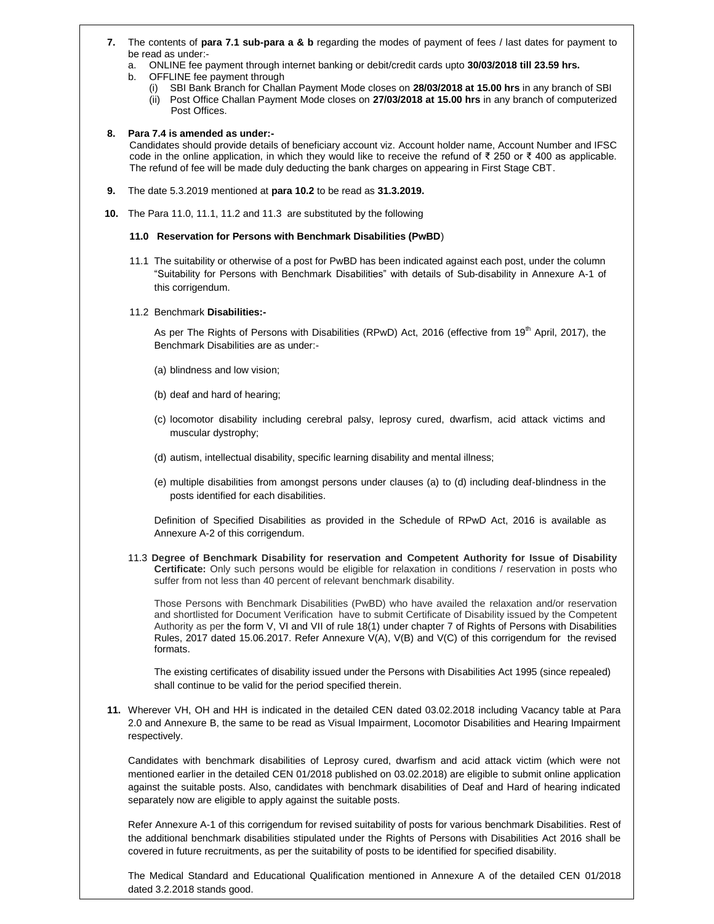- **7.** The contents of **para 7.1 sub-para a & b** regarding the modes of payment of fees / last dates for payment to be read as under:
	- a. ONLINE fee payment through internet banking or debit/credit cards upto **30/03/2018 till 23.59 hrs.**
	- b. OFFLINE fee payment through
		- (i) SBI Bank Branch for Challan Payment Mode closes on **28/03/2018 at 15.00 hrs** in any branch of SBI (ii) Post Office Challan Payment Mode closes on **27/03/2018 at 15.00 hrs** in any branch of computerized
		- Post Offices.

### **8. Para 7.4 is amended as under:-**

Candidates should provide details of beneficiary account viz. Account holder name, Account Number and IFSC code in the online application, in which they would like to receive the refund of ₹ 250 or ₹ 400 as applicable. The refund of fee will be made duly deducting the bank charges on appearing in First Stage CBT.

- **9.** The date 5.3.2019 mentioned at **para 10.2** to be read as **31.3.2019.**
- **10.** The Para 11.0, 11.1, 11.2 and 11.3 are substituted by the following

### **11.0 Reservation for Persons with Benchmark Disabilities (PwBD**)

- 11.1 The suitability or otherwise of a post for PwBD has been indicated against each post, under the column "Suitability for Persons with Benchmark Disabilities" with details of Sub-disability in Annexure A-1 of this corrigendum.
- 11.2 Benchmark **Disabilities:-**

As per The Rights of Persons with Disabilities (RPwD) Act, 2016 (effective from 19<sup>th</sup> April, 2017), the Benchmark Disabilities are as under:-

- (a) blindness and low vision;
- (b) deaf and hard of hearing;
- (c) locomotor disability including cerebral palsy, leprosy cured, dwarfism, acid attack victims and muscular dystrophy;
- (d) autism, intellectual disability, specific learning disability and mental illness;
- (e) multiple disabilities from amongst persons under clauses (a) to (d) including deaf-blindness in the posts identified for each disabilities.

Definition of Specified Disabilities as provided in the Schedule of RPwD Act, 2016 is available as Annexure A-2 of this corrigendum.

11.3 **Degree of Benchmark Disability for reservation and Competent Authority for Issue of Disability Certificate:** Only such persons would be eligible for relaxation in conditions / reservation in posts who suffer from not less than 40 percent of relevant benchmark disability.

Those Persons with Benchmark Disabilities (PwBD) who have availed the relaxation and/or reservation and shortlisted for Document Verification have to submit Certificate of Disability issued by the Competent Authority as per the form V, VI and VII of rule 18(1) under chapter 7 of Rights of Persons with Disabilities Rules, 2017 dated 15.06.2017. Refer Annexure V(A), V(B) and V(C) of this corrigendum for the revised formats.

The existing certificates of disability issued under the Persons with Disabilities Act 1995 (since repealed) shall continue to be valid for the period specified therein.

**11.** Wherever VH, OH and HH is indicated in the detailed CEN dated 03.02.2018 including Vacancy table at Para 2.0 and Annexure B, the same to be read as Visual Impairment, Locomotor Disabilities and Hearing Impairment respectively.

Candidates with benchmark disabilities of Leprosy cured, dwarfism and acid attack victim (which were not mentioned earlier in the detailed CEN 01/2018 published on 03.02.2018) are eligible to submit online application against the suitable posts. Also, candidates with benchmark disabilities of Deaf and Hard of hearing indicated separately now are eligible to apply against the suitable posts.

Refer Annexure A-1 of this corrigendum for revised suitability of posts for various benchmark Disabilities. Rest of the additional benchmark disabilities stipulated under the Rights of Persons with Disabilities Act 2016 shall be covered in future recruitments, as per the suitability of posts to be identified for specified disability.

The Medical Standard and Educational Qualification mentioned in Annexure A of the detailed CEN 01/2018 dated 3.2.2018 stands good.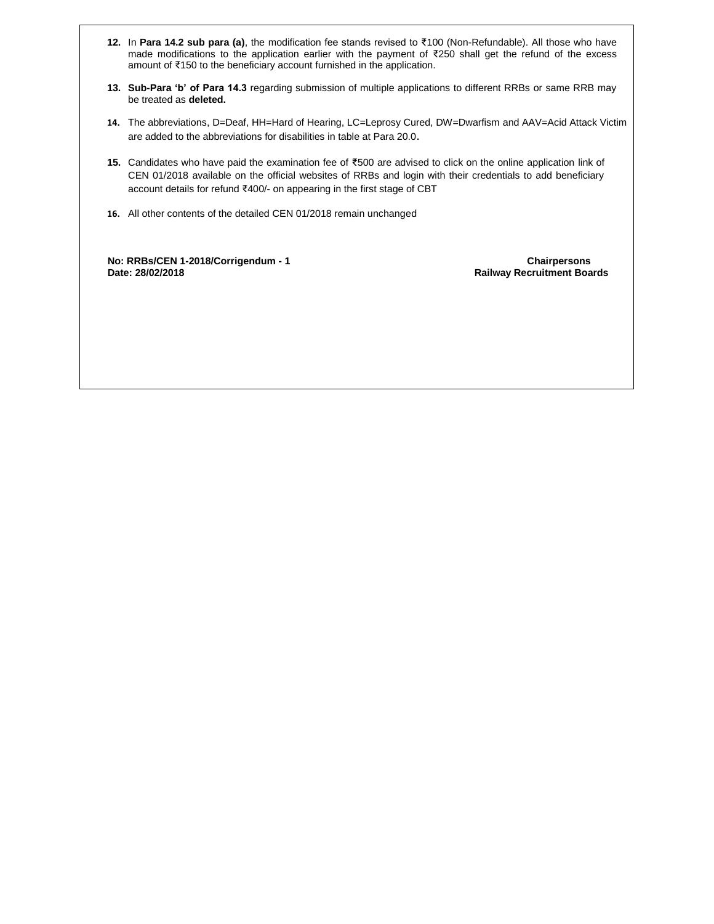- **12.** In **Para 14.2 sub para (a)**, the modification fee stands revised to ₹100 (Non-Refundable). All those who have made modifications to the application earlier with the payment of ₹250 shall get the refund of the excess amount of ₹150 to the beneficiary account furnished in the application.
- **13. Sub-Para 'b' of Para 14.3** regarding submission of multiple applications to different RRBs or same RRB may be treated as **deleted.**
- **14.** The abbreviations, D=Deaf, HH=Hard of Hearing, LC=Leprosy Cured, DW=Dwarfism and AAV=Acid Attack Victim are added to the abbreviations for disabilities in table at Para 20.0.
- **15.** Candidates who have paid the examination fee of ₹500 are advised to click on the online application link of CEN 01/2018 available on the official websites of RRBs and login with their credentials to add beneficiary account details for refund ₹400/- on appearing in the first stage of CBT
- **16.** All other contents of the detailed CEN 01/2018 remain unchanged

 **No: RRBs/CEN 1-2018/Corrigendum - 1 Chairpersons Date: 28/02/2018 Railway Recruitment Boards**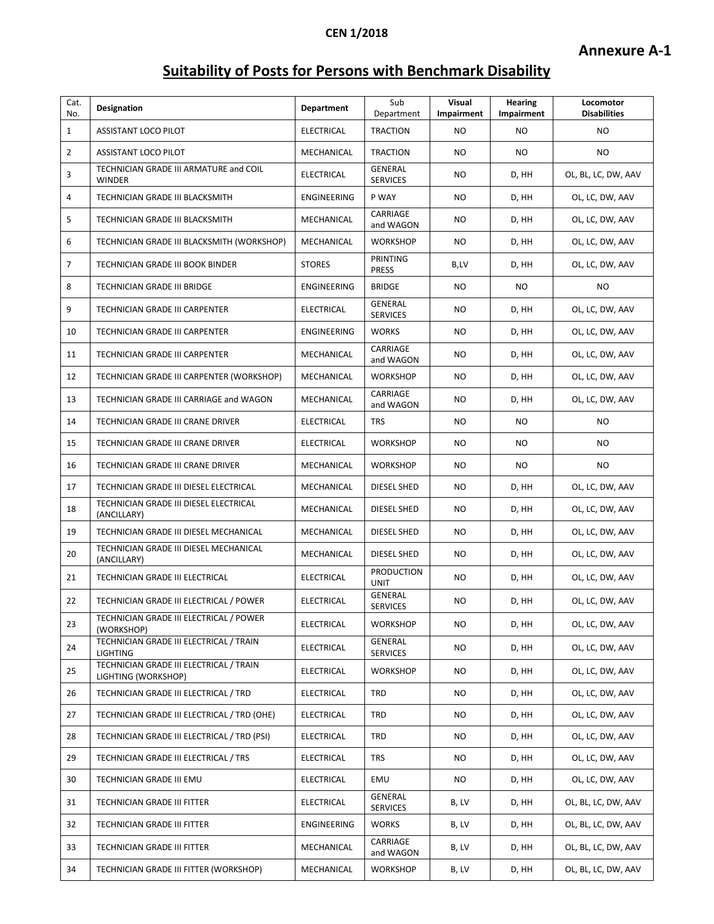# **Suitability of Posts for Persons with Benchmark Disability**

| Cat.<br>No.    | <b>Designation</b>                                             | Department         | Sub<br>Department                | Visual<br><b>Impairment</b> | <b>Hearing</b><br>Impairment | Locomotor<br><b>Disabilities</b> |
|----------------|----------------------------------------------------------------|--------------------|----------------------------------|-----------------------------|------------------------------|----------------------------------|
| $\mathbf{1}$   | <b>ASSISTANT LOCO PILOT</b>                                    | <b>ELECTRICAL</b>  | <b>TRACTION</b>                  | NO.                         | NO.                          | <b>NO</b>                        |
| $\overline{2}$ | <b>ASSISTANT LOCO PILOT</b>                                    | MECHANICAL         | <b>TRACTION</b>                  | NO.                         | NO.                          | <b>NO</b>                        |
| 3              | TECHNICIAN GRADE III ARMATURE and COIL<br><b>WINDER</b>        | <b>ELECTRICAL</b>  | GENERAL<br><b>SERVICES</b>       | NO.                         | D, HH                        | OL, BL, LC, DW, AAV              |
| 4              | TECHNICIAN GRADE III BLACKSMITH                                | ENGINEERING        | P WAY                            | NO                          | D, HH                        | OL, LC, DW, AAV                  |
| 5              | TECHNICIAN GRADE III BLACKSMITH                                | MECHANICAL         | CARRIAGE<br>and WAGON            | NO                          | D, HH                        | OL, LC, DW, AAV                  |
| 6              | TECHNICIAN GRADE III BLACKSMITH (WORKSHOP)                     | MECHANICAL         | <b>WORKSHOP</b>                  | NO.                         | D, HH                        | OL, LC, DW, AAV                  |
| 7              | TECHNICIAN GRADE III BOOK BINDER                               | <b>STORES</b>      | PRINTING<br><b>PRESS</b>         | B,LV                        | D, HH                        | OL, LC, DW, AAV                  |
| 8              | TECHNICIAN GRADE III BRIDGE                                    | <b>ENGINEERING</b> | <b>BRIDGE</b>                    | NO.                         | NO.                          | <b>NO</b>                        |
| 9              | TECHNICIAN GRADE III CARPENTER                                 | <b>ELECTRICAL</b>  | GENERAL<br><b>SERVICES</b>       | NO.                         | D, HH                        | OL, LC, DW, AAV                  |
| 10             | TECHNICIAN GRADE III CARPENTER                                 | <b>ENGINEERING</b> | <b>WORKS</b>                     | NO                          | D, HH                        | OL, LC, DW, AAV                  |
| 11             | TECHNICIAN GRADE III CARPENTER                                 | MECHANICAL         | CARRIAGE<br>and WAGON            | NO.                         | D, HH                        | OL, LC, DW, AAV                  |
| 12             | TECHNICIAN GRADE III CARPENTER (WORKSHOP)                      | MECHANICAL         | <b>WORKSHOP</b>                  | NO.                         | D, HH                        | OL, LC, DW, AAV                  |
| 13             | TECHNICIAN GRADE III CARRIAGE and WAGON                        | MECHANICAL         | CARRIAGE<br>and WAGON            | NO.                         | D, HH                        | OL, LC, DW, AAV                  |
| 14             | TECHNICIAN GRADE III CRANE DRIVER                              | <b>ELECTRICAL</b>  | <b>TRS</b>                       | NO                          | NO.                          | NO.                              |
| 15             | TECHNICIAN GRADE III CRANE DRIVER                              | <b>ELECTRICAL</b>  | <b>WORKSHOP</b>                  | NO                          | NO.                          | NO                               |
| 16             | TECHNICIAN GRADE III CRANE DRIVER                              | MECHANICAL         | <b>WORKSHOP</b>                  | NO                          | NO.                          | NO.                              |
| 17             | TECHNICIAN GRADE III DIESEL ELECTRICAL                         | MECHANICAL         | DIESEL SHED                      | NO                          | D, HH                        | OL, LC, DW, AAV                  |
| 18             | TECHNICIAN GRADE III DIESEL ELECTRICAL<br>(ANCILLARY)          | MECHANICAL         | DIESEL SHED                      | NO.                         | D, HH                        | OL, LC, DW, AAV                  |
| 19             | TECHNICIAN GRADE III DIESEL MECHANICAL                         | MECHANICAL         | DIESEL SHED                      | NO                          | D, HH                        | OL, LC, DW, AAV                  |
| 20             | TECHNICIAN GRADE III DIESEL MECHANICAL<br>(ANCILLARY)          | MECHANICAL         | DIESEL SHED                      | NO.                         | D, HH                        | OL, LC, DW, AAV                  |
| 21             | TECHNICIAN GRADE III ELECTRICAL                                | <b>ELECTRICAL</b>  | <b>PRODUCTION</b><br><b>UNIT</b> | NO.                         | D, HH                        | OL, LC, DW, AAV                  |
| 22             | TECHNICIAN GRADE III ELECTRICAL / POWER                        | <b>ELECTRICAL</b>  | GENERAL<br><b>SERVICES</b>       | NO.                         | D, HH                        | OL, LC, DW, AAV                  |
| 23             | TECHNICIAN GRADE III ELECTRICAL / POWER<br>(WORKSHOP)          | ELECTRICAL         | <b>WORKSHOP</b>                  | NO.                         | D, HH                        | OL, LC, DW, AAV                  |
| 24             | TECHNICIAN GRADE III ELECTRICAL / TRAIN<br><b>LIGHTING</b>     | <b>ELECTRICAL</b>  | GENERAL<br><b>SERVICES</b>       | NO                          | D, HH                        | OL, LC, DW, AAV                  |
| 25             | TECHNICIAN GRADE III ELECTRICAL / TRAIN<br>LIGHTING (WORKSHOP) | <b>ELECTRICAL</b>  | <b>WORKSHOP</b>                  | NO.                         | D, HH                        | OL, LC, DW, AAV                  |
| 26             | TECHNICIAN GRADE III ELECTRICAL / TRD                          | <b>ELECTRICAL</b>  | <b>TRD</b>                       | NO.                         | D, HH                        | OL, LC, DW, AAV                  |
| 27             | TECHNICIAN GRADE III ELECTRICAL / TRD (OHE)                    | ELECTRICAL         | TRD                              | NO.                         | D, HH                        | OL, LC, DW, AAV                  |
| 28             | TECHNICIAN GRADE III ELECTRICAL / TRD (PSI)                    | <b>ELECTRICAL</b>  | TRD                              | NO                          | D, HH                        | OL, LC, DW, AAV                  |
| 29             | TECHNICIAN GRADE III ELECTRICAL / TRS                          | <b>ELECTRICAL</b>  | <b>TRS</b>                       | NO.                         | D, HH                        | OL, LC, DW, AAV                  |
| 30             | TECHNICIAN GRADE III EMU                                       | ELECTRICAL         | EMU                              | NO                          | D, HH                        | OL, LC, DW, AAV                  |
| 31             | TECHNICIAN GRADE III FITTER                                    | <b>ELECTRICAL</b>  | GENERAL<br><b>SERVICES</b>       | B, LV                       | D, HH                        | OL, BL, LC, DW, AAV              |
| 32             | TECHNICIAN GRADE III FITTER                                    | ENGINEERING        | <b>WORKS</b>                     | B, LV                       | D, HH                        | OL, BL, LC, DW, AAV              |
| 33             | TECHNICIAN GRADE III FITTER                                    | MECHANICAL         | CARRIAGE<br>and WAGON            | B, LV                       | D, HH                        | OL, BL, LC, DW, AAV              |
| 34             | TECHNICIAN GRADE III FITTER (WORKSHOP)                         | MECHANICAL         | <b>WORKSHOP</b>                  | B, LV                       | D, HH                        | OL, BL, LC, DW, AAV              |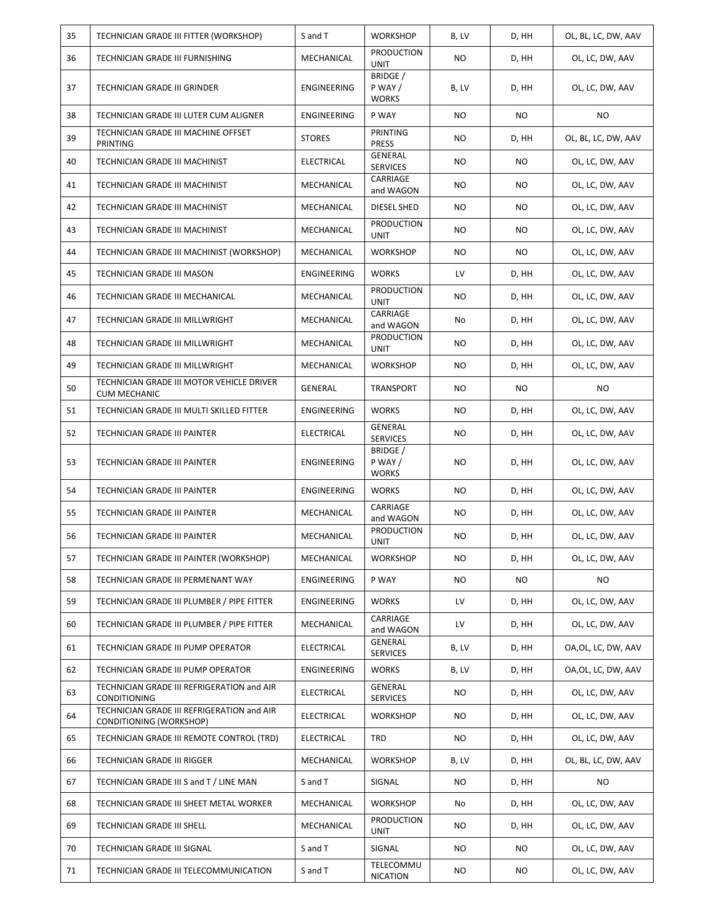| 35 | TECHNICIAN GRADE III FITTER (WORKSHOP)                                | S and T            | <b>WORKSHOP</b>                            | B, LV     | D, HH     | OL, BL, LC, DW, AAV |
|----|-----------------------------------------------------------------------|--------------------|--------------------------------------------|-----------|-----------|---------------------|
| 36 | TECHNICIAN GRADE III FURNISHING                                       | MECHANICAL         | <b>PRODUCTION</b><br><b>UNIT</b>           | <b>NO</b> | D, HH     | OL, LC, DW, AAV     |
| 37 | <b>TECHNICIAN GRADE III GRINDER</b>                                   | ENGINEERING        | <b>BRIDGE</b> /<br>P WAY /<br><b>WORKS</b> | B, LV     | D, HH     | OL, LC, DW, AAV     |
| 38 | TECHNICIAN GRADE III LUTER CUM ALIGNER                                | ENGINEERING        | P WAY                                      | <b>NO</b> | <b>NO</b> | <b>NO</b>           |
| 39 | TECHNICIAN GRADE III MACHINE OFFSET<br><b>PRINTING</b>                | <b>STORES</b>      | PRINTING<br><b>PRESS</b>                   | <b>NO</b> | D, HH     | OL, BL, LC, DW, AAV |
| 40 | TECHNICIAN GRADE III MACHINIST                                        | <b>ELECTRICAL</b>  | <b>GENERAL</b><br><b>SERVICES</b>          | <b>NO</b> | <b>NO</b> | OL, LC, DW, AAV     |
| 41 | TECHNICIAN GRADE III MACHINIST                                        | MECHANICAL         | CARRIAGE<br>and WAGON                      | <b>NO</b> | NO.       | OL, LC, DW, AAV     |
| 42 | TECHNICIAN GRADE III MACHINIST                                        | MECHANICAL         | DIESEL SHED                                | <b>NO</b> | <b>NO</b> | OL, LC, DW, AAV     |
| 43 | TECHNICIAN GRADE III MACHINIST                                        | MECHANICAL         | <b>PRODUCTION</b><br>UNIT                  | <b>NO</b> | <b>NO</b> | OL, LC, DW, AAV     |
| 44 | TECHNICIAN GRADE III MACHINIST (WORKSHOP)                             | MECHANICAL         | <b>WORKSHOP</b>                            | <b>NO</b> | NO.       | OL, LC, DW, AAV     |
| 45 | TECHNICIAN GRADE III MASON                                            | <b>ENGINEERING</b> | <b>WORKS</b>                               | LV        | D, HH     | OL, LC, DW, AAV     |
| 46 | TECHNICIAN GRADE III MECHANICAL                                       | MECHANICAL         | <b>PRODUCTION</b><br><b>UNIT</b>           | <b>NO</b> | D, HH     | OL, LC, DW, AAV     |
| 47 | TECHNICIAN GRADE III MILLWRIGHT                                       | MECHANICAL         | CARRIAGE<br>and WAGON                      | No        | D, HH     | OL, LC, DW, AAV     |
| 48 | TECHNICIAN GRADE III MILLWRIGHT                                       | MECHANICAL         | <b>PRODUCTION</b><br><b>UNIT</b>           | NO.       | D, HH     | OL, LC, DW, AAV     |
| 49 | TECHNICIAN GRADE III MILLWRIGHT                                       | MECHANICAL         | <b>WORKSHOP</b>                            | <b>NO</b> | D, HH     | OL, LC, DW, AAV     |
| 50 | TECHNICIAN GRADE III MOTOR VEHICLE DRIVER<br><b>CUM MECHANIC</b>      | GENERAL            | TRANSPORT                                  | <b>NO</b> | <b>NO</b> | <b>NO</b>           |
| 51 | TECHNICIAN GRADE III MULTI SKILLED FITTER                             | ENGINEERING        | <b>WORKS</b>                               | NO.       | D, HH     | OL, LC, DW, AAV     |
| 52 | TECHNICIAN GRADE III PAINTER                                          | ELECTRICAL         | GENERAL<br><b>SERVICES</b>                 | <b>NO</b> | D, HH     | OL, LC, DW, AAV     |
| 53 | TECHNICIAN GRADE III PAINTER                                          | ENGINEERING        | <b>BRIDGE</b> /<br>P WAY /<br><b>WORKS</b> | NO.       | D, HH     | OL, LC, DW, AAV     |
| 54 | TECHNICIAN GRADE III PAINTER                                          | ENGINEERING        | <b>WORKS</b>                               | <b>NO</b> | D, HH     | OL, LC, DW, AAV     |
| 55 | TECHNICIAN GRADE III PAINTER                                          | MECHANICAL         | CARRIAGE<br>and WAGON                      | <b>NO</b> | D, HH     | OL, LC, DW, AAV     |
| 56 | <b>TECHNICIAN GRADE III PAINTER</b>                                   | MECHANICAL         | <b>PRODUCTION</b><br>UNIT                  | <b>NO</b> | D, HH     | OL, LC, DW, AAV     |
| 57 | TECHNICIAN GRADE III PAINTER (WORKSHOP)                               | MECHANICAL         | <b>WORKSHOP</b>                            | <b>NO</b> | D, HH     | OL, LC, DW, AAV     |
| 58 | TECHNICIAN GRADE III PERMENANT WAY                                    | ENGINEERING        | P WAY                                      | <b>NO</b> | NO.       | NO.                 |
| 59 | TECHNICIAN GRADE III PLUMBER / PIPE FITTER                            | ENGINEERING        | <b>WORKS</b>                               | LV        | D, HH     | OL, LC, DW, AAV     |
| 60 | TECHNICIAN GRADE III PLUMBER / PIPE FITTER                            | MECHANICAL         | CARRIAGE<br>and WAGON                      | LV        | D, HH     | OL, LC, DW, AAV     |
| 61 | TECHNICIAN GRADE III PUMP OPERATOR                                    | <b>ELECTRICAL</b>  | GENERAL<br><b>SERVICES</b>                 | B, LV     | D, HH     | OA, OL, LC, DW, AAV |
| 62 | TECHNICIAN GRADE III PUMP OPERATOR                                    | ENGINEERING        | <b>WORKS</b>                               | B, LV     | D, HH     | OA, OL, LC, DW, AAV |
| 63 | TECHNICIAN GRADE III REFRIGERATION and AIR<br>CONDITIONING            | ELECTRICAL         | GENERAL<br><b>SERVICES</b>                 | NO        | D, HH     | OL, LC, DW, AAV     |
| 64 | TECHNICIAN GRADE III REFRIGERATION and AIR<br>CONDITIONING (WORKSHOP) | <b>ELECTRICAL</b>  | <b>WORKSHOP</b>                            | NO        | D, HH     | OL, LC, DW, AAV     |
| 65 | TECHNICIAN GRADE III REMOTE CONTROL (TRD)                             | ELECTRICAL         | TRD                                        | NO        | D, HH     | OL, LC, DW, AAV     |
| 66 | TECHNICIAN GRADE III RIGGER                                           | MECHANICAL         | <b>WORKSHOP</b>                            | B, LV     | D, HH     | OL, BL, LC, DW, AAV |
| 67 | TECHNICIAN GRADE III S and T / LINE MAN                               | S and T            | SIGNAL                                     | NO.       | D, HH     | NO.                 |
| 68 | TECHNICIAN GRADE III SHEET METAL WORKER                               | MECHANICAL         | <b>WORKSHOP</b>                            | No        | D, HH     | OL, LC, DW, AAV     |
| 69 | TECHNICIAN GRADE III SHELL                                            | MECHANICAL         | <b>PRODUCTION</b><br>UNIT                  | NO        | D, HH     | OL, LC, DW, AAV     |
| 70 | TECHNICIAN GRADE III SIGNAL                                           | S and T            | SIGNAL                                     | NO        | NO        | OL, LC, DW, AAV     |
| 71 | TECHNICIAN GRADE III TELECOMMUNICATION                                | S and T            | TELECOMMU<br><b>NICATION</b>               | NO        | NO        | OL, LC, DW, AAV     |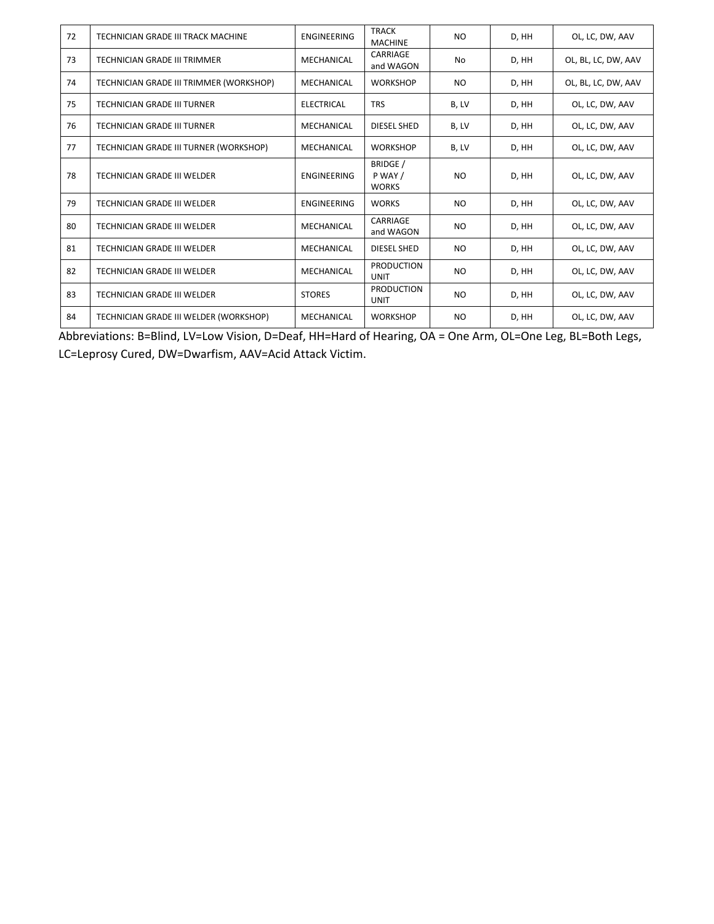| 72 | TECHNICIAN GRADE III TRACK MACHINE      | <b>ENGINEERING</b> | <b>TRACK</b><br><b>MACHINE</b>      | N <sub>O</sub> | D, HH | OL, LC, DW, AAV     |
|----|-----------------------------------------|--------------------|-------------------------------------|----------------|-------|---------------------|
| 73 | TECHNICIAN GRADE III TRIMMER            | MECHANICAL         | CARRIAGE<br>and WAGON               | No             | D, HH | OL, BL, LC, DW, AAV |
| 74 | TECHNICIAN GRADE III TRIMMER (WORKSHOP) | MECHANICAL         | <b>WORKSHOP</b>                     | N <sub>O</sub> | D, HH | OL, BL, LC, DW, AAV |
| 75 | <b>TECHNICIAN GRADE III TURNER</b>      | <b>ELECTRICAL</b>  | <b>TRS</b>                          | B, LV          | D, HH | OL, LC, DW, AAV     |
| 76 | TECHNICIAN GRADE III TURNER             | MECHANICAL         | DIESEL SHED                         | B, LV          | D, HH | OL, LC, DW, AAV     |
| 77 | TECHNICIAN GRADE III TURNER (WORKSHOP)  | MECHANICAL         | <b>WORKSHOP</b>                     | B, LV          | D, HH | OL, LC, DW, AAV     |
| 78 | TECHNICIAN GRADE III WELDER             | <b>ENGINEERING</b> | BRIDGE /<br>P WAY /<br><b>WORKS</b> | N <sub>O</sub> | D, HH | OL, LC, DW, AAV     |
| 79 | TECHNICIAN GRADE III WELDER             | <b>ENGINEERING</b> | <b>WORKS</b>                        | N <sub>O</sub> | D, HH | OL, LC, DW, AAV     |
| 80 | TECHNICIAN GRADE III WELDER             | MECHANICAL         | CARRIAGE<br>and WAGON               | N <sub>O</sub> | D, HH | OL, LC, DW, AAV     |
| 81 | TECHNICIAN GRADE III WELDER             | MECHANICAL         | DIESEL SHED                         | N <sub>O</sub> | D, HH | OL, LC, DW, AAV     |
| 82 | TECHNICIAN GRADE III WELDER             | MECHANICAL         | <b>PRODUCTION</b><br><b>UNIT</b>    | N <sub>O</sub> | D, HH | OL, LC, DW, AAV     |
| 83 | TECHNICIAN GRADE III WELDER             | <b>STORES</b>      | <b>PRODUCTION</b><br><b>UNIT</b>    | N <sub>O</sub> | D, HH | OL, LC, DW, AAV     |
| 84 | TECHNICIAN GRADE III WELDER (WORKSHOP)  | MECHANICAL         | <b>WORKSHOP</b>                     | N <sub>O</sub> | D, HH | OL, LC, DW, AAV     |

Abbreviations: B=Blind, LV=Low Vision, D=Deaf, HH=Hard of Hearing, OA = One Arm, OL=One Leg, BL=Both Legs, LC=Leprosy Cured, DW=Dwarfism, AAV=Acid Attack Victim.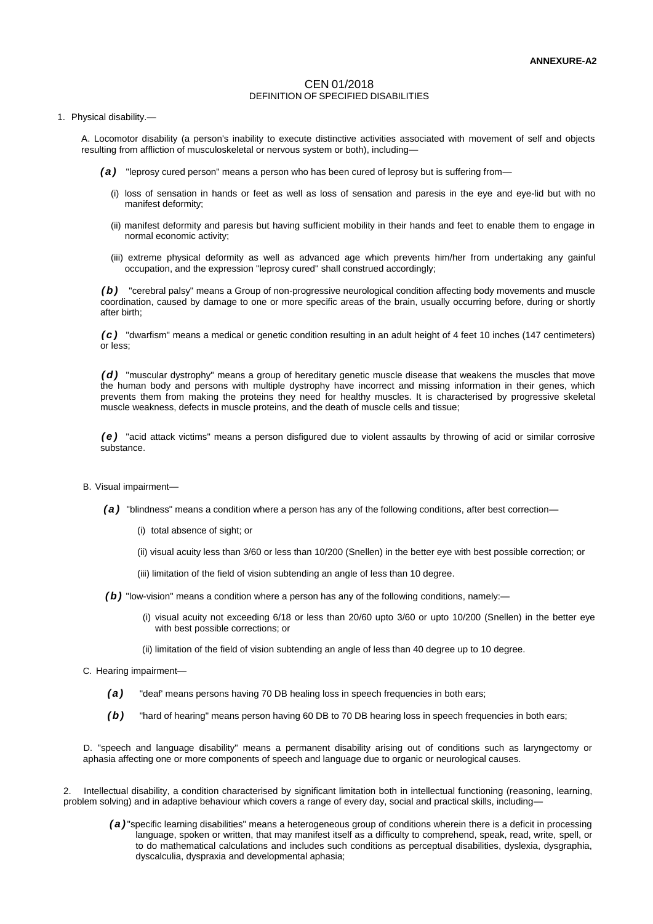# CEN 01/2018 DEFINITION OF SPECIFIED DISABILITIES

# 1. Physical disability.—

A. Locomotor disability (a person's inability to execute distinctive activities associated with movement of self and objects resulting from affliction of musculoskeletal or nervous system or both), including—

- *( a )* "leprosy cured person" means a person who has been cured of leprosy but is suffering from—
	- (i) loss of sensation in hands or feet as well as loss of sensation and paresis in the eye and eye-lid but with no manifest deformity;
	- (ii) manifest deformity and paresis but having sufficient mobility in their hands and feet to enable them to engage in normal economic activity;
	- (iii) extreme physical deformity as well as advanced age which prevents him/her from undertaking any gainful occupation, and the expression "leprosy cured" shall construed accordingly;

*( b )* "cerebral palsy" means a Group of non-progressive neurological condition affecting body movements and muscle coordination, caused by damage to one or more specific areas of the brain, usually occurring before, during or shortly after birth;

*( c )* "dwarfism" means a medical or genetic condition resulting in an adult height of 4 feet 10 inches (147 centimeters) or less;

*( d )* "muscular dystrophy" means a group of hereditary genetic muscle disease that weakens the muscles that move the human body and persons with multiple dystrophy have incorrect and missing information in their genes, which prevents them from making the proteins they need for healthy muscles. It is characterised by progressive skeletal muscle weakness, defects in muscle proteins, and the death of muscle cells and tissue;

*( e )* "acid attack victims" means a person disfigured due to violent assaults by throwing of acid or similar corrosive substance.

- B. Visual impairment—
	- *( a )* "blindness" means a condition where a person has any of the following conditions, after best correction—
		- (i) total absence of sight; or
		- (ii) visual acuity less than 3/60 or less than 10/200 (Snellen) in the better eye with best possible correction; or
		- (iii) limitation of the field of vision subtending an angle of less than 10 degree.
	- *( b )* "low-vision" means a condition where a person has any of the following conditions, namely:—
		- (i) visual acuity not exceeding 6/18 or less than 20/60 upto 3/60 or upto 10/200 (Snellen) in the better eye with best possible corrections; or
		- (ii) limitation of the field of vision subtending an angle of less than 40 degree up to 10 degree.
- C. Hearing impairment—
	- *( a )* "deaf' means persons having 70 DB healing loss in speech frequencies in both ears;

*( b )* "hard of hearing" means person having 60 DB to 70 DB hearing loss in speech frequencies in both ears;

D. "speech and language disability" means a permanent disability arising out of conditions such as laryngectomy or aphasia affecting one or more components of speech and language due to organic or neurological causes.

2. Intellectual disability, a condition characterised by significant limitation both in intellectual functioning (reasoning, learning, problem solving) and in adaptive behaviour which covers a range of every day, social and practical skills, including—

*( a )*"specific learning disabilities" means a heterogeneous group of conditions wherein there is a deficit in processing language, spoken or written, that may manifest itself as a difficulty to comprehend, speak, read, write, spell, or to do mathematical calculations and includes such conditions as perceptual disabilities, dyslexia, dysgraphia, dyscalculia, dyspraxia and developmental aphasia;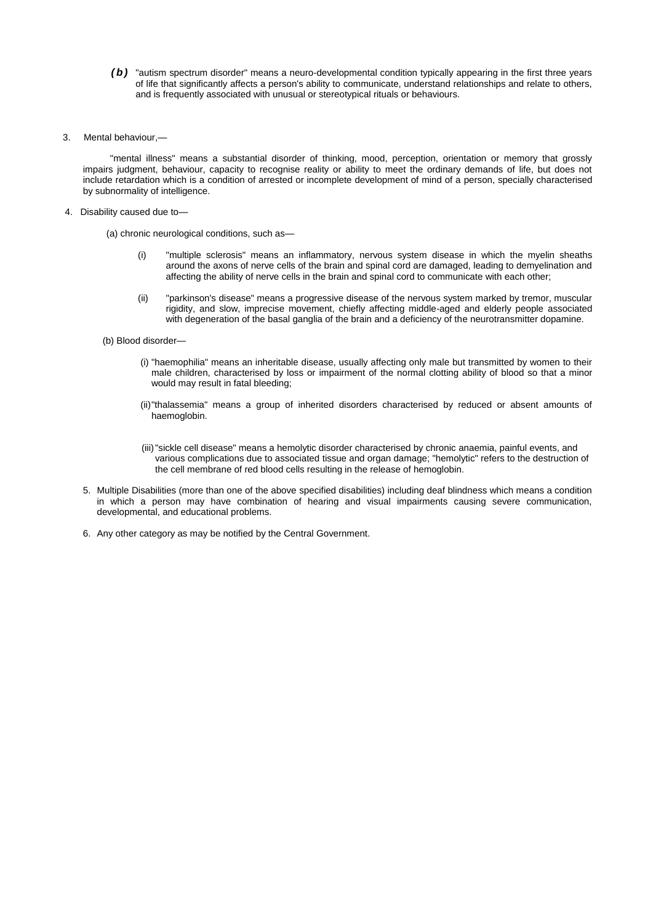- *( b )* "autism spectrum disorder" means a neuro-developmental condition typically appearing in the first three years of life that significantly affects a person's ability to communicate, understand relationships and relate to others, and is frequently associated with unusual or stereotypical rituals or behaviours.
- 3. Mental behaviour,—

"mental illness" means a substantial disorder of thinking, mood, perception, orientation or memory that grossly impairs judgment, behaviour, capacity to recognise reality or ability to meet the ordinary demands of life, but does not include retardation which is a condition of arrested or incomplete development of mind of a person, specially characterised by subnormality of intelligence.

4. Disability caused due to—

(a) chronic neurological conditions, such as—

- (i) "multiple sclerosis" means an inflammatory, nervous system disease in which the myelin sheaths around the axons of nerve cells of the brain and spinal cord are damaged, leading to demyelination and affecting the ability of nerve cells in the brain and spinal cord to communicate with each other;
- (ii) "parkinson's disease" means a progressive disease of the nervous system marked by tremor, muscular rigidity, and slow, imprecise movement, chiefly affecting middle-aged and elderly people associated with degeneration of the basal ganglia of the brain and a deficiency of the neurotransmitter dopamine.
- (b) Blood disorder—
	- (i) "haemophilia" means an inheritable disease, usually affecting only male but transmitted by women to their male children, characterised by loss or impairment of the normal clotting ability of blood so that a minor would may result in fatal bleeding;
	- (ii)"thalassemia" means a group of inherited disorders characterised by reduced or absent amounts of haemoglobin.
	- (iii)"sickle cell disease" means a hemolytic disorder characterised by chronic anaemia, painful events, and various complications due to associated tissue and organ damage; "hemolytic" refers to the destruction of the cell membrane of red blood cells resulting in the release of hemoglobin.
- 5. Multiple Disabilities (more than one of the above specified disabilities) including deaf blindness which means a condition in which a person may have combination of hearing and visual impairments causing severe communication, developmental, and educational problems.
- 6. Any other category as may be notified by the Central Government.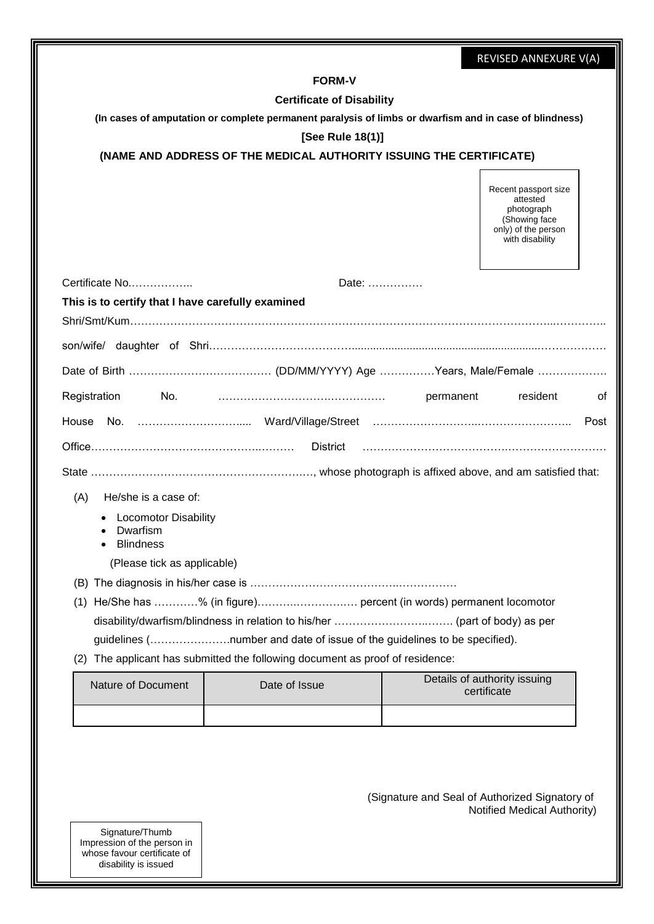|                                                             |                                                                           | REVISED ANNEXURE V(A)                                                                                      |
|-------------------------------------------------------------|---------------------------------------------------------------------------|------------------------------------------------------------------------------------------------------------|
|                                                             | <b>FORM-V</b>                                                             |                                                                                                            |
|                                                             | <b>Certificate of Disability</b>                                          |                                                                                                            |
|                                                             |                                                                           | (In cases of amputation or complete permanent paralysis of limbs or dwarfism and in case of blindness)     |
|                                                             | [See Rule 18(1)]                                                          |                                                                                                            |
|                                                             | (NAME AND ADDRESS OF THE MEDICAL AUTHORITY ISSUING THE CERTIFICATE)       |                                                                                                            |
|                                                             |                                                                           | Recent passport size<br>attested<br>photograph<br>(Showing face)<br>only) of the person<br>with disability |
| Certificate No                                              | Date:                                                                     |                                                                                                            |
| This is to certify that I have carefully examined           |                                                                           |                                                                                                            |
|                                                             |                                                                           |                                                                                                            |
|                                                             |                                                                           |                                                                                                            |
|                                                             |                                                                           |                                                                                                            |
| Registration<br>No.                                         |                                                                           | resident<br>permanent<br>οf                                                                                |
| House                                                       |                                                                           | Post                                                                                                       |
|                                                             | District                                                                  |                                                                                                            |
|                                                             |                                                                           |                                                                                                            |
| He/she is a case of:<br>(A)                                 |                                                                           |                                                                                                            |
| <b>Locomotor Disability</b><br>Dwarfism<br><b>Blindness</b> |                                                                           |                                                                                                            |
| (Please tick as applicable)                                 |                                                                           |                                                                                                            |
|                                                             |                                                                           |                                                                                                            |
|                                                             | (1) He/She has % (in figure) percent (in words) permanent locomotor       |                                                                                                            |
|                                                             |                                                                           |                                                                                                            |
|                                                             | guidelines (number and date of issue of the guidelines to be specified).  |                                                                                                            |
| (2)                                                         | The applicant has submitted the following document as proof of residence: |                                                                                                            |
| Nature of Document                                          | Date of Issue                                                             | Details of authority issuing<br>certificate                                                                |
|                                                             |                                                                           |                                                                                                            |
|                                                             |                                                                           | (Signature and Seal of Authorized Signatory of<br>Notified Medical Authority)                              |
| Signature/Thumb<br>Impression of the person in              |                                                                           |                                                                                                            |

whose favour certificate of disability is issued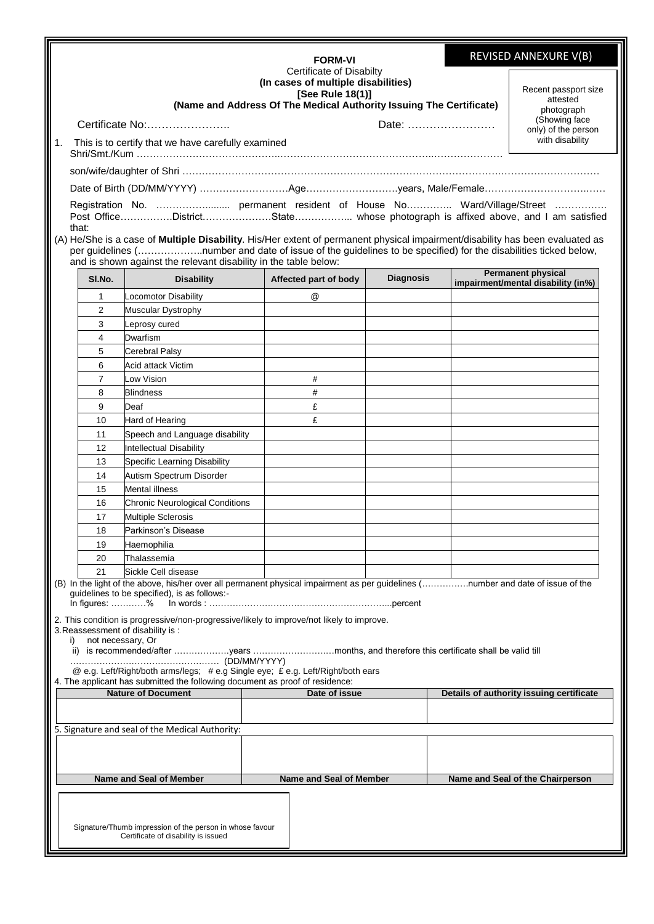|                |                                                                                                                                                                                                                                              |                                                                                                                                                                                                                                                                                                                         |  | <b>FORM-VI</b>          |                  | REVISED ANNEXURE V(B) |                                                                                                           |
|----------------|----------------------------------------------------------------------------------------------------------------------------------------------------------------------------------------------------------------------------------------------|-------------------------------------------------------------------------------------------------------------------------------------------------------------------------------------------------------------------------------------------------------------------------------------------------------------------------|--|-------------------------|------------------|-----------------------|-----------------------------------------------------------------------------------------------------------|
| $\mathbf{1}$ . | Certificate of Disabilty<br>(In cases of multiple disabilities)<br>[See Rule 18(1)]<br>(Name and Address Of The Medical Authority Issuing The Certificate)<br>Certificate No:<br>Date:<br>This is to certify that we have carefully examined |                                                                                                                                                                                                                                                                                                                         |  |                         |                  |                       | Recent passport size<br>attested<br>photograph<br>(Showing face<br>only) of the person<br>with disability |
|                |                                                                                                                                                                                                                                              |                                                                                                                                                                                                                                                                                                                         |  |                         |                  |                       |                                                                                                           |
|                |                                                                                                                                                                                                                                              |                                                                                                                                                                                                                                                                                                                         |  |                         |                  |                       |                                                                                                           |
|                |                                                                                                                                                                                                                                              |                                                                                                                                                                                                                                                                                                                         |  |                         |                  |                       |                                                                                                           |
|                | that:                                                                                                                                                                                                                                        | Registration No.  permanent resident of House No Ward/Village/Street<br>(A) He/She is a case of Multiple Disability. His/Her extent of permanent physical impairment/disability has been evaluated as<br>per guidelines (number and date of issue of the guidelines to be specified) for the disabilities ticked below, |  |                         |                  |                       |                                                                                                           |
|                |                                                                                                                                                                                                                                              | and is shown against the relevant disability in the table below:                                                                                                                                                                                                                                                        |  |                         |                  |                       | <b>Permanent physical</b>                                                                                 |
|                | SI.No.                                                                                                                                                                                                                                       | <b>Disability</b>                                                                                                                                                                                                                                                                                                       |  | Affected part of body   | <b>Diagnosis</b> |                       | impairment/mental disability (in%)                                                                        |
|                | 1                                                                                                                                                                                                                                            | Locomotor Disability                                                                                                                                                                                                                                                                                                    |  | @                       |                  |                       |                                                                                                           |
|                | $\overline{2}$                                                                                                                                                                                                                               | <b>Muscular Dystrophy</b>                                                                                                                                                                                                                                                                                               |  |                         |                  |                       |                                                                                                           |
|                | 3                                                                                                                                                                                                                                            | Leprosy cured                                                                                                                                                                                                                                                                                                           |  |                         |                  |                       |                                                                                                           |
|                | 4                                                                                                                                                                                                                                            | Dwarfism                                                                                                                                                                                                                                                                                                                |  |                         |                  |                       |                                                                                                           |
|                | 5                                                                                                                                                                                                                                            | <b>Cerebral Palsy</b>                                                                                                                                                                                                                                                                                                   |  |                         |                  |                       |                                                                                                           |
|                | 6                                                                                                                                                                                                                                            | Acid attack Victim                                                                                                                                                                                                                                                                                                      |  |                         |                  |                       |                                                                                                           |
|                | 7<br>8                                                                                                                                                                                                                                       | Low Vision<br><b>Blindness</b>                                                                                                                                                                                                                                                                                          |  | #<br>#                  |                  |                       |                                                                                                           |
|                | 9                                                                                                                                                                                                                                            | Deaf                                                                                                                                                                                                                                                                                                                    |  | £                       |                  |                       |                                                                                                           |
|                | 10                                                                                                                                                                                                                                           | Hard of Hearing                                                                                                                                                                                                                                                                                                         |  | £                       |                  |                       |                                                                                                           |
|                | 11                                                                                                                                                                                                                                           | Speech and Language disability                                                                                                                                                                                                                                                                                          |  |                         |                  |                       |                                                                                                           |
|                | 12                                                                                                                                                                                                                                           | Intellectual Disability                                                                                                                                                                                                                                                                                                 |  |                         |                  |                       |                                                                                                           |
|                | 13                                                                                                                                                                                                                                           | Specific Learning Disability                                                                                                                                                                                                                                                                                            |  |                         |                  |                       |                                                                                                           |
|                | 14                                                                                                                                                                                                                                           | Autism Spectrum Disorder                                                                                                                                                                                                                                                                                                |  |                         |                  |                       |                                                                                                           |
|                | 15                                                                                                                                                                                                                                           | <b>Mental illness</b>                                                                                                                                                                                                                                                                                                   |  |                         |                  |                       |                                                                                                           |
|                | 16                                                                                                                                                                                                                                           | <b>Chronic Neurological Conditions</b>                                                                                                                                                                                                                                                                                  |  |                         |                  |                       |                                                                                                           |
|                | 17                                                                                                                                                                                                                                           | <b>Multiple Sclerosis</b>                                                                                                                                                                                                                                                                                               |  |                         |                  |                       |                                                                                                           |
|                | 18                                                                                                                                                                                                                                           | Parkinson's Disease                                                                                                                                                                                                                                                                                                     |  |                         |                  |                       |                                                                                                           |
|                | 19                                                                                                                                                                                                                                           | Haemophilia                                                                                                                                                                                                                                                                                                             |  |                         |                  |                       |                                                                                                           |
|                | 20                                                                                                                                                                                                                                           | Thalassemia                                                                                                                                                                                                                                                                                                             |  |                         |                  |                       |                                                                                                           |
|                | 21                                                                                                                                                                                                                                           | Sickle Cell disease                                                                                                                                                                                                                                                                                                     |  |                         |                  |                       |                                                                                                           |
|                | In figures: $\dots\dots\dots$ %                                                                                                                                                                                                              | (B) In the light of the above, his/her over all permanent physical impairment as per guidelines (number and date of issue of the<br>guidelines to be specified), is as follows:-                                                                                                                                        |  |                         |                  |                       |                                                                                                           |
| i)             |                                                                                                                                                                                                                                              | 2. This condition is progressive/non-progressive/likely to improve/not likely to improve.<br>3. Reassessment of disability is :<br>not necessary, Or                                                                                                                                                                    |  |                         |                  |                       |                                                                                                           |
|                |                                                                                                                                                                                                                                              | ii) is recommended/after years months, and therefore this certificate shall be valid till                                                                                                                                                                                                                               |  |                         |                  |                       |                                                                                                           |
|                |                                                                                                                                                                                                                                              | @ e.g. Left/Right/both arms/legs; #e.g Single eye; £ e.g. Left/Right/both ears<br>4. The applicant has submitted the following document as proof of residence:                                                                                                                                                          |  |                         |                  |                       |                                                                                                           |
|                |                                                                                                                                                                                                                                              | <b>Nature of Document</b>                                                                                                                                                                                                                                                                                               |  | Date of issue           |                  |                       | Details of authority issuing certificate                                                                  |
|                |                                                                                                                                                                                                                                              |                                                                                                                                                                                                                                                                                                                         |  |                         |                  |                       |                                                                                                           |
|                |                                                                                                                                                                                                                                              | 5. Signature and seal of the Medical Authority:                                                                                                                                                                                                                                                                         |  |                         |                  |                       |                                                                                                           |
|                |                                                                                                                                                                                                                                              |                                                                                                                                                                                                                                                                                                                         |  |                         |                  |                       |                                                                                                           |
|                |                                                                                                                                                                                                                                              | Name and Seal of Member                                                                                                                                                                                                                                                                                                 |  | Name and Seal of Member |                  |                       | Name and Seal of the Chairperson                                                                          |
|                |                                                                                                                                                                                                                                              | Signature/Thumb impression of the person in whose favour<br>Certificate of disability is issued                                                                                                                                                                                                                         |  |                         |                  |                       |                                                                                                           |